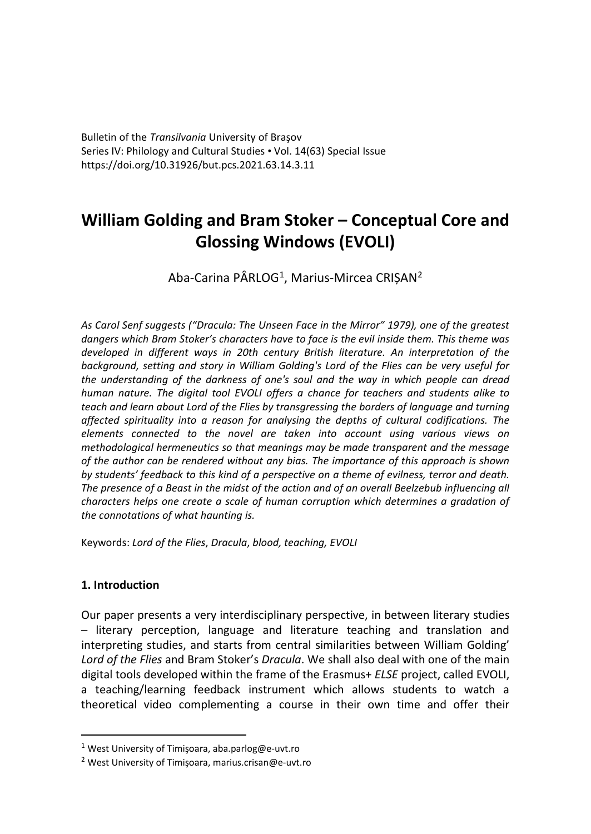Bulletin of the *Transilvania* University of Braşov Series IV: Philology and Cultural Studies • Vol. 14(63) Special Issue https://doi.org/10.31926/but.pcs.2021.63.14.3.11

# **William Golding and Bram Stoker – Conceptual Core and Glossing Windows (EVOLI)**

Aba-Carina PÂRLOG<sup>[1](#page-0-0)</sup>, Marius-Mircea CRIȘAN<sup>[2](#page-0-1)</sup>

*As Carol Senf suggests ("Dracula: The Unseen Face in the Mirror" 1979), one of the greatest dangers which Bram Stoker's characters have to face is the evil inside them. This theme was developed in different ways in 20th century British literature. An interpretation of the background, setting and story in William Golding's Lord of the Flies can be very useful for the understanding of the darkness of one's soul and the way in which people can dread human nature. The digital tool EVOLI offers a chance for teachers and students alike to teach and learn about Lord of the Flies by transgressing the borders of language and turning affected spirituality into a reason for analysing the depths of cultural codifications. The elements connected to the novel are taken into account using various views on methodological hermeneutics so that meanings may be made transparent and the message of the author can be rendered without any bias. The importance of this approach is shown by students' feedback to this kind of a perspective on a theme of evilness, terror and death. The presence of a Beast in the midst of the action and of an overall Beelzebub influencing all characters helps one create a scale of human corruption which determines a gradation of the connotations of what haunting is.*

Keywords: *Lord of the Flies*, *Dracula*, *blood, teaching, EVOLI*

# **1. Introduction**

Our paper presents a very interdisciplinary perspective, in between literary studies – literary perception, language and literature teaching and translation and interpreting studies, and starts from central similarities between William Golding' *Lord of the Flies* and Bram Stoker's *Dracula*. We shall also deal with one of the main digital tools developed within the frame of the Erasmus+ *ELSE* project, called EVOLI, a teaching/learning feedback instrument which allows students to watch a theoretical video complementing a course in their own time and offer their

<span id="page-0-0"></span><sup>&</sup>lt;sup>1</sup> West University of Timişoara, aba.parlog@e-uvt.ro

<span id="page-0-1"></span><sup>2</sup> West University of Timişoara, marius.crisan@e-uvt.ro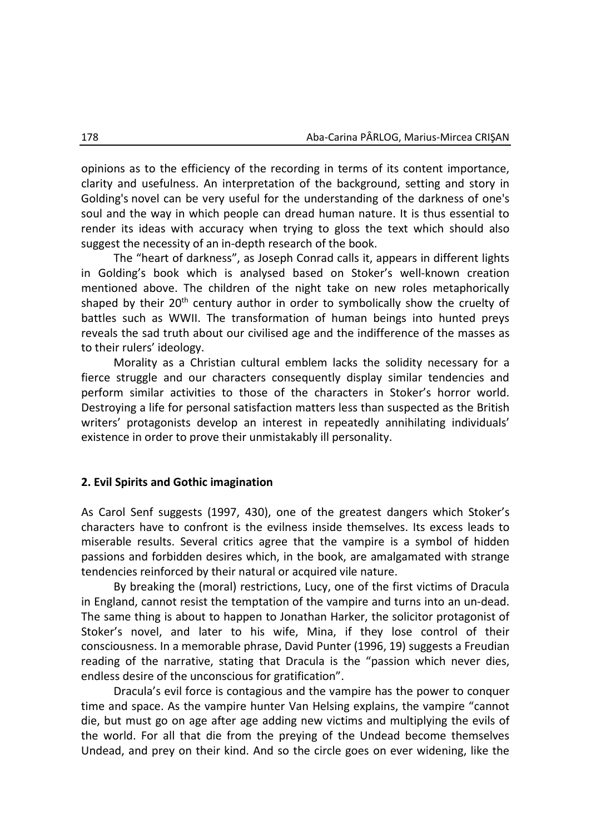opinions as to the efficiency of the recording in terms of its content importance, clarity and usefulness. An interpretation of the background, setting and story in Golding's novel can be very useful for the understanding of the darkness of one's soul and the way in which people can dread human nature. It is thus essential to render its ideas with accuracy when trying to gloss the text which should also suggest the necessity of an in-depth research of the book.

The "heart of darkness", as Joseph Conrad calls it, appears in different lights in Golding's book which is analysed based on Stoker's well-known creation mentioned above. The children of the night take on new roles metaphorically shaped by their 20<sup>th</sup> century author in order to symbolically show the cruelty of battles such as WWII. The transformation of human beings into hunted preys reveals the sad truth about our civilised age and the indifference of the masses as to their rulers' ideology.

Morality as a Christian cultural emblem lacks the solidity necessary for a fierce struggle and our characters consequently display similar tendencies and perform similar activities to those of the characters in Stoker's horror world. Destroying a life for personal satisfaction matters less than suspected as the British writers' protagonists develop an interest in repeatedly annihilating individuals' existence in order to prove their unmistakably ill personality.

#### **2. Evil Spirits and Gothic imagination**

As Carol Senf suggests (1997, 430), one of the greatest dangers which Stoker's characters have to confront is the evilness inside themselves. Its excess leads to miserable results. Several critics agree that the vampire is a symbol of hidden passions and forbidden desires which, in the book, are amalgamated with strange tendencies reinforced by their natural or acquired vile nature.

By breaking the (moral) restrictions, Lucy, one of the first victims of Dracula in England, cannot resist the temptation of the vampire and turns into an un-dead. The same thing is about to happen to Jonathan Harker, the solicitor protagonist of Stoker's novel, and later to his wife, Mina, if they lose control of their consciousness. In a memorable phrase, David Punter (1996, 19) suggests a Freudian reading of the narrative, stating that Dracula is the "passion which never dies, endless desire of the unconscious for gratification".

Dracula's evil force is contagious and the vampire has the power to conquer time and space. As the vampire hunter Van Helsing explains, the vampire "cannot die, but must go on age after age adding new victims and multiplying the evils of the world. For all that die from the preying of the Undead become themselves Undead, and prey on their kind. And so the circle goes on ever widening, like the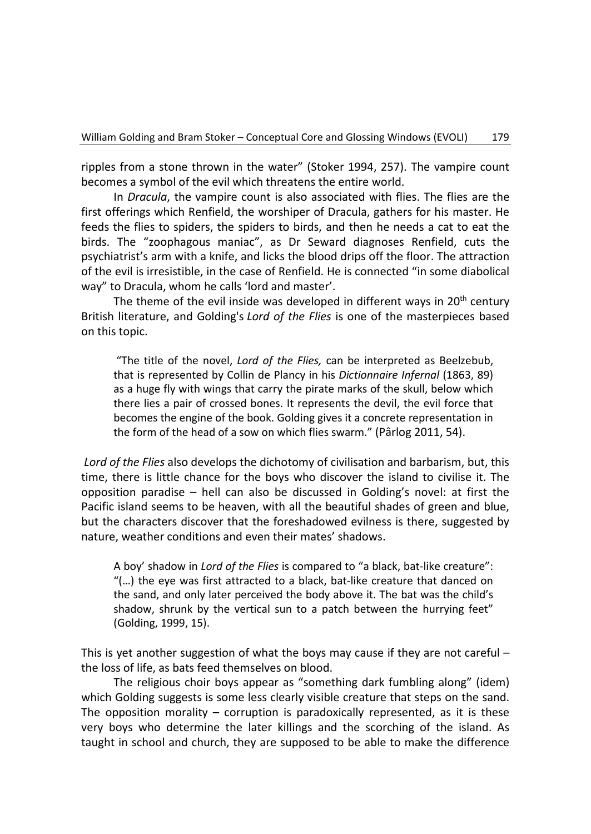ripples from a stone thrown in the water" (Stoker 1994, 257). The vampire count becomes a symbol of the evil which threatens the entire world.

In *Dracula*, the vampire count is also associated with flies. The flies are the first offerings which Renfield, the worshiper of Dracula, gathers for his master. He feeds the flies to spiders, the spiders to birds, and then he needs a cat to eat the birds. The "zoophagous maniac", as Dr Seward diagnoses Renfield, cuts the psychiatrist's arm with a knife, and licks the blood drips off the floor. The attraction of the evil is irresistible, in the case of Renfield. He is connected "in some diabolical way" to Dracula, whom he calls 'lord and master'.

The theme of the evil inside was developed in different ways in  $20<sup>th</sup>$  century British literature, and Golding's *Lord of the Flies* is one of the masterpieces based on this topic.

"The title of the novel, *Lord of the Flies,* can be interpreted as Beelzebub, that is represented by Collin de Plancy in his *Dictionnaire Infernal* (1863, 89) as a huge fly with wings that carry the pirate marks of the skull, below which there lies a pair of crossed bones. It represents the devil, the evil force that becomes the engine of the book. Golding gives it a concrete representation in the form of the head of a sow on which flies swarm." (Pârlog 2011, 54).

*Lord of the Flies* also develops the dichotomy of civilisation and barbarism, but, this time, there is little chance for the boys who discover the island to civilise it. The opposition paradise – hell can also be discussed in Golding's novel: at first the Pacific island seems to be heaven, with all the beautiful shades of green and blue, but the characters discover that the foreshadowed evilness is there, suggested by nature, weather conditions and even their mates' shadows.

A boy' shadow in *Lord of the Flies* is compared to "a black, bat-like creature": "(…) the eye was first attracted to a black, bat-like creature that danced on the sand, and only later perceived the body above it. The bat was the child's shadow, shrunk by the vertical sun to a patch between the hurrying feet" (Golding, 1999, 15).

This is yet another suggestion of what the boys may cause if they are not careful  $$ the loss of life, as bats feed themselves on blood.

The religious choir boys appear as "something dark fumbling along" (idem) which Golding suggests is some less clearly visible creature that steps on the sand. The opposition morality – corruption is paradoxically represented, as it is these very boys who determine the later killings and the scorching of the island. As taught in school and church, they are supposed to be able to make the difference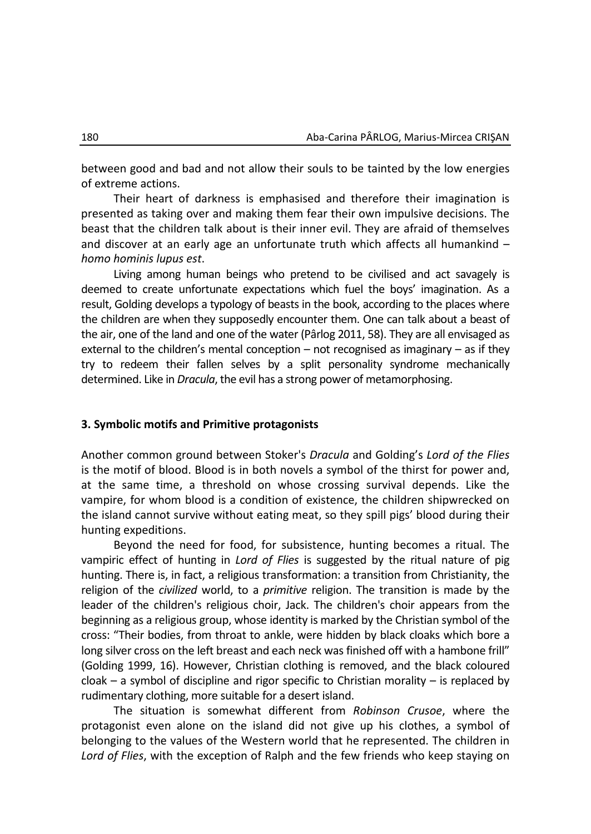between good and bad and not allow their souls to be tainted by the low energies of extreme actions.

Their heart of darkness is emphasised and therefore their imagination is presented as taking over and making them fear their own impulsive decisions. The beast that the children talk about is their inner evil. They are afraid of themselves and discover at an early age an unfortunate truth which affects all humankind – *homo hominis lupus est*.

Living among human beings who pretend to be civilised and act savagely is deemed to create unfortunate expectations which fuel the boys' imagination. As a result, Golding develops a typology of beasts in the book, according to the places where the children are when they supposedly encounter them. One can talk about a beast of the air, one of the land and one of the water (Pârlog 2011, 58). They are all envisaged as external to the children's mental conception  $-$  not recognised as imaginary  $-$  as if they try to redeem their fallen selves by a split personality syndrome mechanically determined. Like in *Dracula*, the evil has a strong power of metamorphosing.

#### **3. Symbolic motifs and Primitive protagonists**

Another common ground between Stoker's *Dracula* and Golding's *Lord of the Flies* is the motif of blood. Blood is in both novels a symbol of the thirst for power and, at the same time, a threshold on whose crossing survival depends. Like the vampire, for whom blood is a condition of existence, the children shipwrecked on the island cannot survive without eating meat, so they spill pigs' blood during their hunting expeditions.

Beyond the need for food, for subsistence, hunting becomes a ritual. The vampiric effect of hunting in *Lord of Flies* is suggested by the ritual nature of pig hunting. There is, in fact, a religious transformation: a transition from Christianity, the religion of the *civilized* world, to a *primitive* religion. The transition is made by the leader of the children's religious choir, Jack. The children's choir appears from the beginning as a religious group, whose identity is marked by the Christian symbol of the cross: "Their bodies, from throat to ankle, were hidden by black cloaks which bore a long silver cross on the left breast and each neck was finished off with a hambone frill" (Golding 1999, 16). However, Christian clothing is removed, and the black coloured cloak – a symbol of discipline and rigor specific to Christian morality – is replaced by rudimentary clothing, more suitable for a desert island.

The situation is somewhat different from *Robinson Crusoe*, where the protagonist even alone on the island did not give up his clothes, a symbol of belonging to the values of the Western world that he represented. The children in *Lord of Flies*, with the exception of Ralph and the few friends who keep staying on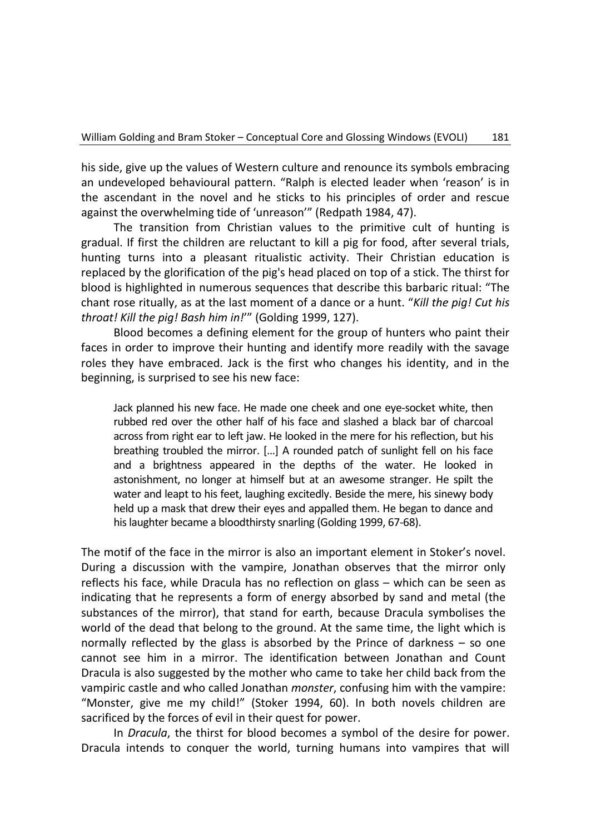his side, give up the values of Western culture and renounce its symbols embracing an undeveloped behavioural pattern. "Ralph is elected leader when 'reason' is in the ascendant in the novel and he sticks to his principles of order and rescue against the overwhelming tide of 'unreason'" (Redpath 1984, 47).

The transition from Christian values to the primitive cult of hunting is gradual. If first the children are reluctant to kill a pig for food, after several trials, hunting turns into a pleasant ritualistic activity. Their Christian education is replaced by the glorification of the pig's head placed on top of a stick. The thirst for blood is highlighted in numerous sequences that describe this barbaric ritual: "The chant rose ritually, as at the last moment of a dance or a hunt. "*Kill the pig! Cut his throat! Kill the pig! Bash him in!*'" (Golding 1999, 127).

Blood becomes a defining element for the group of hunters who paint their faces in order to improve their hunting and identify more readily with the savage roles they have embraced. Jack is the first who changes his identity, and in the beginning, is surprised to see his new face:

Jack planned his new face. He made one cheek and one eye-socket white, then rubbed red over the other half of his face and slashed a black bar of charcoal across from right ear to left jaw. He looked in the mere for his reflection, but his breathing troubled the mirror. […] A rounded patch of sunlight fell on his face and a brightness appeared in the depths of the water. He looked in astonishment, no longer at himself but at an awesome stranger. He spilt the water and leapt to his feet, laughing excitedly. Beside the mere, his sinewy body held up a mask that drew their eyes and appalled them. He began to dance and his laughter became a bloodthirsty snarling (Golding 1999, 67-68).

The motif of the face in the mirror is also an important element in Stoker's novel. During a discussion with the vampire, Jonathan observes that the mirror only reflects his face, while Dracula has no reflection on glass – which can be seen as indicating that he represents a form of energy absorbed by sand and metal (the substances of the mirror), that stand for earth, because Dracula symbolises the world of the dead that belong to the ground. At the same time, the light which is normally reflected by the glass is absorbed by the Prince of darkness – so one cannot see him in a mirror. The identification between Jonathan and Count Dracula is also suggested by the mother who came to take her child back from the vampiric castle and who called Jonathan *monster*, confusing him with the vampire: "Monster, give me my child!" (Stoker 1994, 60). In both novels children are sacrificed by the forces of evil in their quest for power.

In *Dracula*, the thirst for blood becomes a symbol of the desire for power. Dracula intends to conquer the world, turning humans into vampires that will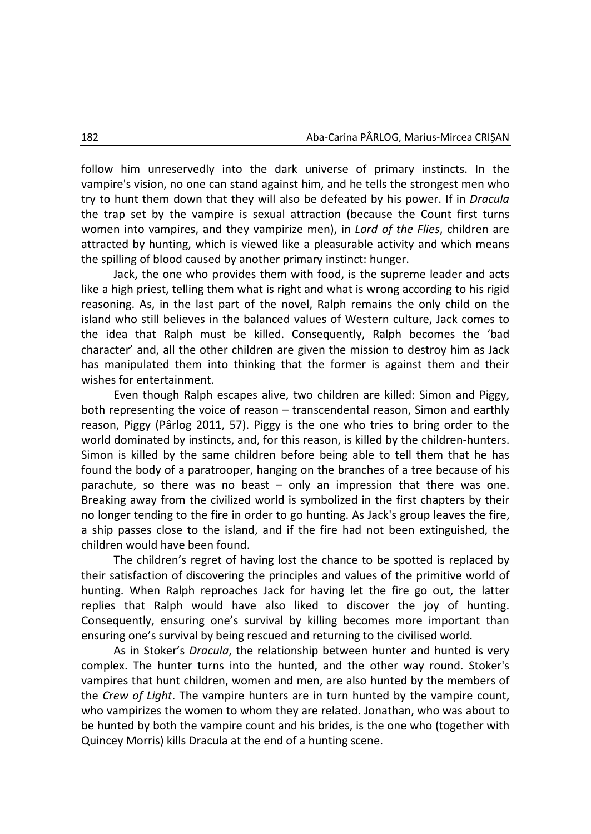follow him unreservedly into the dark universe of primary instincts. In the vampire's vision, no one can stand against him, and he tells the strongest men who try to hunt them down that they will also be defeated by his power. If in *Dracula* the trap set by the vampire is sexual attraction (because the Count first turns women into vampires, and they vampirize men), in *Lord of the Flies*, children are attracted by hunting, which is viewed like a pleasurable activity and which means the spilling of blood caused by another primary instinct: hunger.

Jack, the one who provides them with food, is the supreme leader and acts like a high priest, telling them what is right and what is wrong according to his rigid reasoning. As, in the last part of the novel, Ralph remains the only child on the island who still believes in the balanced values of Western culture, Jack comes to the idea that Ralph must be killed. Consequently, Ralph becomes the 'bad character' and, all the other children are given the mission to destroy him as Jack has manipulated them into thinking that the former is against them and their wishes for entertainment.

Even though Ralph escapes alive, two children are killed: Simon and Piggy, both representing the voice of reason – transcendental reason, Simon and earthly reason, Piggy (Pârlog 2011, 57). Piggy is the one who tries to bring order to the world dominated by instincts, and, for this reason, is killed by the children-hunters. Simon is killed by the same children before being able to tell them that he has found the body of a paratrooper, hanging on the branches of a tree because of his parachute, so there was no beast – only an impression that there was one. Breaking away from the civilized world is symbolized in the first chapters by their no longer tending to the fire in order to go hunting. As Jack's group leaves the fire, a ship passes close to the island, and if the fire had not been extinguished, the children would have been found.

The children's regret of having lost the chance to be spotted is replaced by their satisfaction of discovering the principles and values of the primitive world of hunting. When Ralph reproaches Jack for having let the fire go out, the latter replies that Ralph would have also liked to discover the joy of hunting. Consequently, ensuring one's survival by killing becomes more important than ensuring one's survival by being rescued and returning to the civilised world.

As in Stoker's *Dracula*, the relationship between hunter and hunted is very complex. The hunter turns into the hunted, and the other way round. Stoker's vampires that hunt children, women and men, are also hunted by the members of the *Crew of Light*. The vampire hunters are in turn hunted by the vampire count, who vampirizes the women to whom they are related. Jonathan, who was about to be hunted by both the vampire count and his brides, is the one who (together with Quincey Morris) kills Dracula at the end of a hunting scene.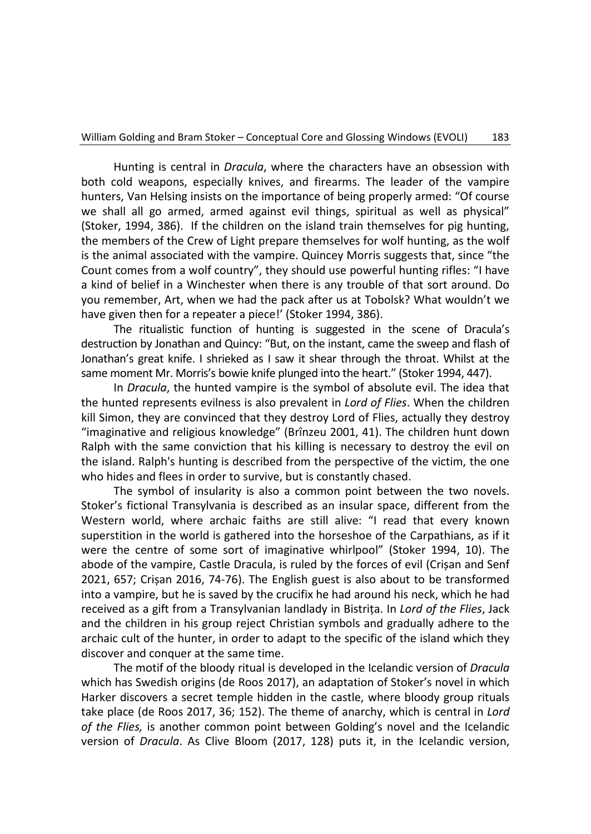Hunting is central in *Dracula*, where the characters have an obsession with both cold weapons, especially knives, and firearms. The leader of the vampire hunters, Van Helsing insists on the importance of being properly armed: "Of course we shall all go armed, armed against evil things, spiritual as well as physical" (Stoker, 1994, 386). If the children on the island train themselves for pig hunting, the members of the Crew of Light prepare themselves for wolf hunting, as the wolf is the animal associated with the vampire. Quincey Morris suggests that, since "the Count comes from a wolf country", they should use powerful hunting rifles: "I have a kind of belief in a Winchester when there is any trouble of that sort around. Do you remember, Art, when we had the pack after us at Tobolsk? What wouldn't we have given then for a repeater a piece!' (Stoker 1994, 386).

The ritualistic function of hunting is suggested in the scene of Dracula's destruction by Jonathan and Quincy: "But, on the instant, came the sweep and flash of Jonathan's great knife. I shrieked as I saw it shear through the throat. Whilst at the same moment Mr. Morris's bowie knife plunged into the heart." (Stoker 1994, 447).

In *Dracula*, the hunted vampire is the symbol of absolute evil. The idea that the hunted represents evilness is also prevalent in *Lord of Flies*. When the children kill Simon, they are convinced that they destroy Lord of Flies, actually they destroy "imaginative and religious knowledge" (Brînzeu 2001, 41). The children hunt down Ralph with the same conviction that his killing is necessary to destroy the evil on the island. Ralph's hunting is described from the perspective of the victim, the one who hides and flees in order to survive, but is constantly chased.

The symbol of insularity is also a common point between the two novels. Stoker's fictional Transylvania is described as an insular space, different from the Western world, where archaic faiths are still alive: "I read that every known superstition in the world is gathered into the horseshoe of the Carpathians, as if it were the centre of some sort of imaginative whirlpool" (Stoker 1994, 10). The abode of the vampire, Castle Dracula, is ruled by the forces of evil (Crișan and Senf 2021, 657; Crișan 2016, 74-76). The English guest is also about to be transformed into a vampire, but he is saved by the crucifix he had around his neck, which he had received as a gift from a Transylvanian landlady in Bistrița. In *Lord of the Flies*, Jack and the children in his group reject Christian symbols and gradually adhere to the archaic cult of the hunter, in order to adapt to the specific of the island which they discover and conquer at the same time.

The motif of the bloody ritual is developed in the Icelandic version of *Dracula* which has Swedish origins (de Roos 2017), an adaptation of Stoker's novel in which Harker discovers a secret temple hidden in the castle, where bloody group rituals take place (de Roos 2017, 36; 152). The theme of anarchy, which is central in *Lord of the Flies,* is another common point between Golding's novel and the Icelandic version of *Dracula*. As Clive Bloom (2017, 128) puts it, in the Icelandic version,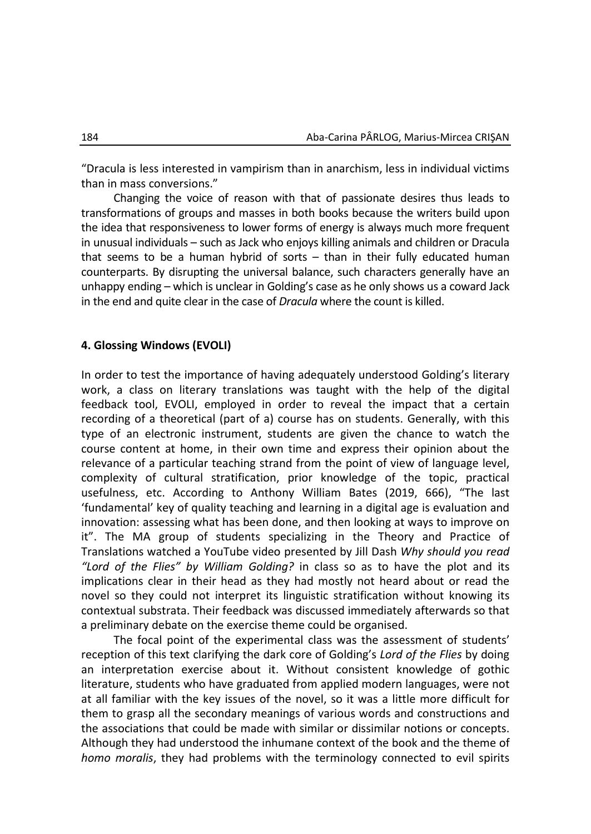"Dracula is less interested in vampirism than in anarchism, less in individual victims than in mass conversions."

Changing the voice of reason with that of passionate desires thus leads to transformations of groups and masses in both books because the writers build upon the idea that responsiveness to lower forms of energy is always much more frequent in unusual individuals – such as Jack who enjoys killing animals and children or Dracula that seems to be a human hybrid of sorts – than in their fully educated human counterparts. By disrupting the universal balance, such characters generally have an unhappy ending – which is unclear in Golding's case as he only shows us a coward Jack in the end and quite clear in the case of *Dracula* where the count is killed.

## **4. Glossing Windows (EVOLI)**

In order to test the importance of having adequately understood Golding's literary work, a class on literary translations was taught with the help of the digital feedback tool, EVOLI, employed in order to reveal the impact that a certain recording of a theoretical (part of a) course has on students. Generally, with this type of an electronic instrument, students are given the chance to watch the course content at home, in their own time and express their opinion about the relevance of a particular teaching strand from the point of view of language level, complexity of cultural stratification, prior knowledge of the topic, practical usefulness, etc. According to Anthony William Bates (2019, 666), "The last 'fundamental' key of quality teaching and learning in a digital age is evaluation and innovation: assessing what has been done, and then looking at ways to improve on it". The MA group of students specializing in the Theory and Practice of Translations watched a YouTube video presented by Jill Dash *Why should you read "Lord of the Flies" by William Golding?* in class so as to have the plot and its implications clear in their head as they had mostly not heard about or read the novel so they could not interpret its linguistic stratification without knowing its contextual substrata. Their feedback was discussed immediately afterwards so that a preliminary debate on the exercise theme could be organised.

The focal point of the experimental class was the assessment of students' reception of this text clarifying the dark core of Golding's *Lord of the Flies* by doing an interpretation exercise about it. Without consistent knowledge of gothic literature, students who have graduated from applied modern languages, were not at all familiar with the key issues of the novel, so it was a little more difficult for them to grasp all the secondary meanings of various words and constructions and the associations that could be made with similar or dissimilar notions or concepts. Although they had understood the inhumane context of the book and the theme of *homo moralis*, they had problems with the terminology connected to evil spirits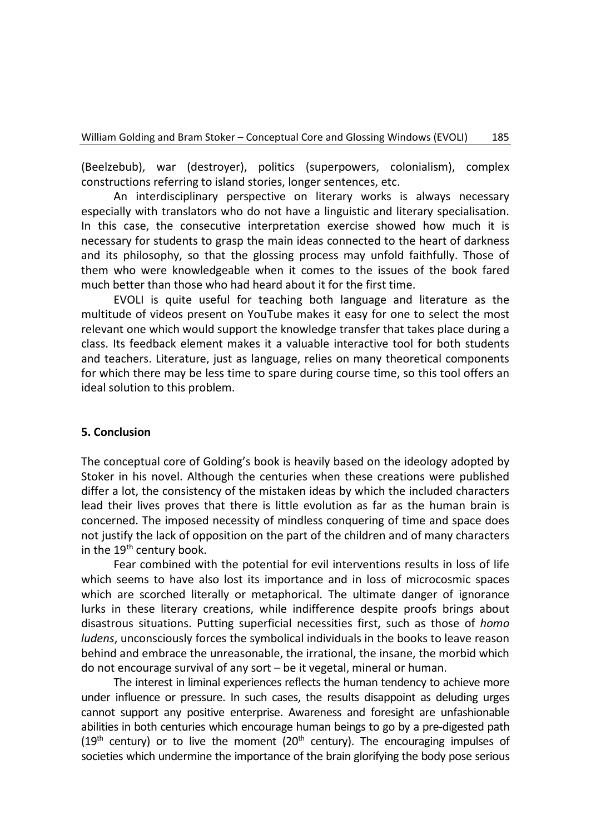(Beelzebub), war (destroyer), politics (superpowers, colonialism), complex constructions referring to island stories, longer sentences, etc.

An interdisciplinary perspective on literary works is always necessary especially with translators who do not have a linguistic and literary specialisation. In this case, the consecutive interpretation exercise showed how much it is necessary for students to grasp the main ideas connected to the heart of darkness and its philosophy, so that the glossing process may unfold faithfully. Those of them who were knowledgeable when it comes to the issues of the book fared much better than those who had heard about it for the first time.

EVOLI is quite useful for teaching both language and literature as the multitude of videos present on YouTube makes it easy for one to select the most relevant one which would support the knowledge transfer that takes place during a class. Its feedback element makes it a valuable interactive tool for both students and teachers. Literature, just as language, relies on many theoretical components for which there may be less time to spare during course time, so this tool offers an ideal solution to this problem.

## **5. Conclusion**

The conceptual core of Golding's book is heavily based on the ideology adopted by Stoker in his novel. Although the centuries when these creations were published differ a lot, the consistency of the mistaken ideas by which the included characters lead their lives proves that there is little evolution as far as the human brain is concerned. The imposed necessity of mindless conquering of time and space does not justify the lack of opposition on the part of the children and of many characters in the  $19<sup>th</sup>$  century book.

Fear combined with the potential for evil interventions results in loss of life which seems to have also lost its importance and in loss of microcosmic spaces which are scorched literally or metaphorical. The ultimate danger of ignorance lurks in these literary creations, while indifference despite proofs brings about disastrous situations. Putting superficial necessities first, such as those of *homo ludens*, unconsciously forces the symbolical individuals in the books to leave reason behind and embrace the unreasonable, the irrational, the insane, the morbid which do not encourage survival of any sort – be it vegetal, mineral or human.

The interest in liminal experiences reflects the human tendency to achieve more under influence or pressure. In such cases, the results disappoint as deluding urges cannot support any positive enterprise. Awareness and foresight are unfashionable abilities in both centuries which encourage human beings to go by a pre-digested path (19<sup>th</sup> century) or to live the moment (20<sup>th</sup> century). The encouraging impulses of societies which undermine the importance of the brain glorifying the body pose serious